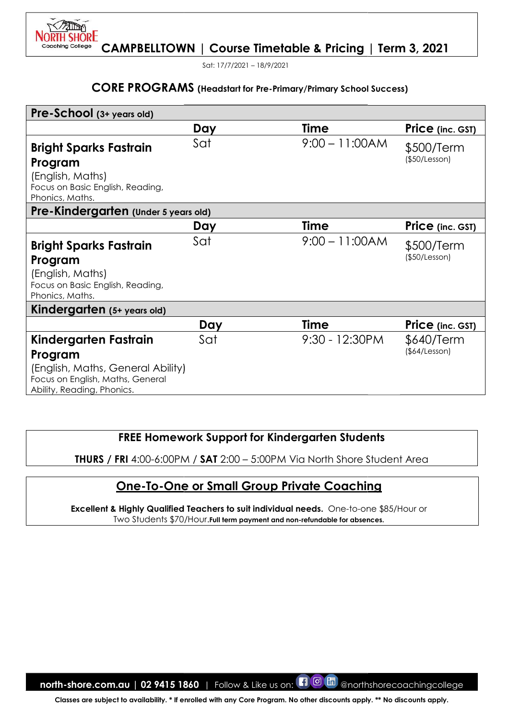

Sat: 17/7/2021 – 18/9/2021

#### CORE PROGRAMS (Headstart for Pre-Primary/Primary

| Pre-School (3+ years old)                                                                                                               |     |                                                                                                                                                                                                                            |                             |
|-----------------------------------------------------------------------------------------------------------------------------------------|-----|----------------------------------------------------------------------------------------------------------------------------------------------------------------------------------------------------------------------------|-----------------------------|
|                                                                                                                                         | Day | <b>Time</b>                                                                                                                                                                                                                | Price (inc. GST)            |
| <b>Bright Sparks Fastrain</b><br>Program<br>(English, Maths)<br>Focus on Basic English, Reading,<br>Phonics, Maths.                     | Sat | $9:00 - 11:00AM$                                                                                                                                                                                                           | \$500/Term<br>(\$50/Lesson) |
| Pre-Kindergarten (Under 5 years old)                                                                                                    |     |                                                                                                                                                                                                                            |                             |
|                                                                                                                                         | Day | Time                                                                                                                                                                                                                       | Price (inc. GST)            |
| <b>Bright Sparks Fastrain</b><br>Program<br>(English, Maths)<br>Focus on Basic English, Reading,<br>Phonics, Maths.                     | Sat | $9:00 - 11:00AM$                                                                                                                                                                                                           | \$500/Term<br>(\$50/Lesson) |
| Kindergarten (5+ years old)                                                                                                             |     |                                                                                                                                                                                                                            |                             |
|                                                                                                                                         | Day | <b>Time</b>                                                                                                                                                                                                                | Price (inc. GST)            |
| Kindergarten Fastrain<br>Program<br>(English, Maths, General Ability)<br>Focus on English, Maths, General<br>Ability, Reading, Phonics. | Sat | 9:30 - 12:30PM                                                                                                                                                                                                             | \$640/Term<br>(\$4/Lesson)  |
|                                                                                                                                         |     | <b>FREE Homework Support for Kindergarten Students</b><br><b>THURS / FRI 4:00-6:00PM / SAT 2:00 - 5:00PM Via North Shore Student Area</b>                                                                                  |                             |
|                                                                                                                                         |     |                                                                                                                                                                                                                            |                             |
|                                                                                                                                         |     | <b>One-To-One or Small Group Private Coaching</b><br>Excellent & Highly Qualified Teachers to suit individual needs. One-to-one \$85/Hour or<br>Two Students \$70/Hour. Full term payment and non-refundable for absences. |                             |
|                                                                                                                                         |     |                                                                                                                                                                                                                            |                             |
|                                                                                                                                         |     |                                                                                                                                                                                                                            |                             |
|                                                                                                                                         |     |                                                                                                                                                                                                                            |                             |
|                                                                                                                                         |     |                                                                                                                                                                                                                            |                             |
|                                                                                                                                         |     |                                                                                                                                                                                                                            |                             |

# FREE Homework Support for Kindergarten Students

# One-To-One or Small Group Private Coaching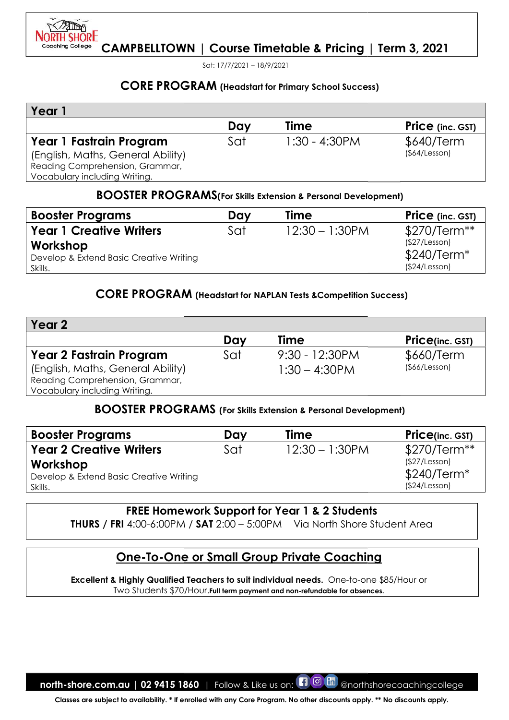

Sat: 17/7/2021 – 18/9/2021

#### CORE PROGRAM (Headstart for Primary School Success)

| Year 1                            |     |                  |                         |
|-----------------------------------|-----|------------------|-------------------------|
|                                   | Day | <b>Time</b>      | <b>Price</b> (inc. GST) |
| Year 1 Fastrain Program           | Sat | $1:30 - 4:30$ PM | \$640/Term              |
| (English, Maths, General Ability) |     |                  | (§64/Lesson)            |
| Reading Comprehension, Grammar,   |     |                  |                         |
| Vocabulary including Writing.     |     |                  |                         |

#### BOOSTER PROGRAMS(For Skills Extension & Personal Development)

| <b>Booster Programs</b>                 | Dav | Time              | <b>Price</b> (inc. GST) |
|-----------------------------------------|-----|-------------------|-------------------------|
| <b>Year 1 Creative Writers</b>          | Sat | $12:30 - 1:30$ PM | $$270/Term**$           |
| Workshop                                |     |                   | (S27/Lesson)            |
| Develop & Extend Basic Creative Writing |     |                   | $$240/Term*$            |
| Skills.                                 |     |                   | (\$24/Lesson)           |

# CORE PROGRAM (Headstart for NAPLAN Tests & Competition Success)

| Year 1                                                                                                                                  |     |                                                                        |                                                               |
|-----------------------------------------------------------------------------------------------------------------------------------------|-----|------------------------------------------------------------------------|---------------------------------------------------------------|
|                                                                                                                                         | Day | Time                                                                   | <b>Price</b> (inc. GST)                                       |
| Year 1 Fastrain Program<br>(English, Maths, General Ability)<br>Reading Comprehension, Grammar,<br>Vocabulary including Writing.        | Sat | $1:30 - 4:30$ PM                                                       | \$640/Term<br>(\$4/Lesson)                                    |
|                                                                                                                                         |     | <b>BOOSTER PROGRAMS</b> (For Skills Extension & Personal Development)  |                                                               |
| <b>Booster Programs</b>                                                                                                                 | Day | <b>Time</b>                                                            | Price (inc. GST)                                              |
| <b>Year 1 Creative Writers</b>                                                                                                          | Sat | $12:30 - 1:30$ PM                                                      | \$270/Term**                                                  |
| Workshop<br>Develop & Extend Basic Creative Writing<br>Skills.                                                                          |     |                                                                        | (\$27/Lesson)<br>$$240/Term*$<br>(\$24/Lesson)                |
|                                                                                                                                         |     | <b>CORE PROGRAM</b> (Headstart for NAPLAN Tests & Competition Success) |                                                               |
| Year <sub>2</sub>                                                                                                                       |     |                                                                        |                                                               |
|                                                                                                                                         | Day | Time                                                                   | <b>Price(inc. GST)</b>                                        |
| <b>Year 2 Fastrain Program</b><br>(English, Maths, General Ability)<br>Reading Comprehension, Grammar,<br>Vocabulary including Writing. | Sat | 9:30 - 12:30PM<br>$1:30 - 4:30$ PM                                     | \$660/Term<br>(\$66/Lesson)                                   |
|                                                                                                                                         |     | <b>BOOSTER PROGRAMS</b> (For Skills Extension & Personal Development)  |                                                               |
| <b>Booster Programs</b>                                                                                                                 | Day | <b>Time</b>                                                            | Price(inc. GST)                                               |
| <b>Year 2 Creative Writers</b><br>Workshop<br>Develop & Extend Basic Creative Writing<br>Skills.                                        | Sat | $12:30 - 1:30$ PM                                                      | \$270/Term**<br>(\$27/Lesson)<br>\$240/Term*<br>(\$24/Lesson) |
|                                                                                                                                         |     | <b>FREE Homework Support for Year 1 &amp; 2 Students</b>               |                                                               |
| <b>THURS</b> / FRI 4:00-6:00PM / SAT 2:00 - 5:00PM Via North Shore Student Area                                                         |     |                                                                        |                                                               |
|                                                                                                                                         |     | <u>One-To-One or Small Group Private Coaching</u>                      |                                                               |

# BOOSTER PROGRAMS PROGRAMS (For Skills Extension & Personal Development)

| <b>Booster Programs</b>                 | Day | <b>Time</b>       | <b>Price(inc. GST)</b> |
|-----------------------------------------|-----|-------------------|------------------------|
| <b>Year 2 Creative Writers</b>          | Sat | $12:30 - 1:30$ PM | $$270/Term**$          |
| Workshop                                |     |                   | (\$27/Lesson)          |
| Develop & Extend Basic Creative Writing |     |                   | $$240/Term*$           |
| Skills.                                 |     |                   | (\$24/Lesson)          |

# FREE Homework Support for Year 1 & 2 Students

# One-To-One or Small Group Private Coaching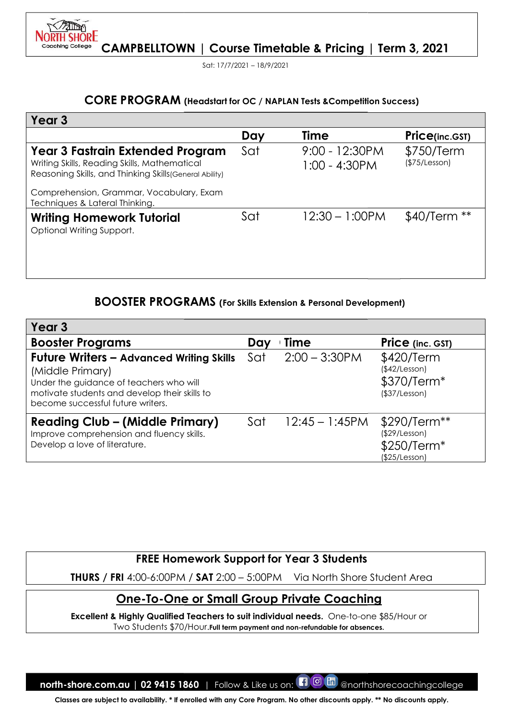

Sat: 17/7/2021 – 18/9/2021

# CORE PROGRAM (Headstart for OC / NAPLAN Tests & Competition Success)

| Year 3<br><b>Time</b><br>Day<br><b>Price(inc.GST)</b><br>Sat<br>9:00 - 12:30PM<br><b>Year 3 Fastrain Extended Program</b><br>\$750/Term<br>(\$75/Lesson)<br>Writing Skills, Reading Skills, Mathematical<br>$1:00 - 4:30$ PM<br>Reasoning Skills, and Thinking Skills (General Ability)<br>Comprehension, Grammar, Vocabulary, Exam<br>Techniques & Lateral Thinking.<br>\$40/Term<br>$12:30 - 1:00$ PM<br>Sat<br><b>Writing Homework Tutorial</b><br>Optional Writing Support. |
|---------------------------------------------------------------------------------------------------------------------------------------------------------------------------------------------------------------------------------------------------------------------------------------------------------------------------------------------------------------------------------------------------------------------------------------------------------------------------------|
|                                                                                                                                                                                                                                                                                                                                                                                                                                                                                 |
|                                                                                                                                                                                                                                                                                                                                                                                                                                                                                 |
|                                                                                                                                                                                                                                                                                                                                                                                                                                                                                 |
|                                                                                                                                                                                                                                                                                                                                                                                                                                                                                 |
|                                                                                                                                                                                                                                                                                                                                                                                                                                                                                 |
| <b>BOOSTER PROGRAMS</b> (For Skills Extension & Personal Development)<br>Year <sub>3</sub>                                                                                                                                                                                                                                                                                                                                                                                      |
| <b>Time</b><br><b>Booster Programs</b><br>Day<br><b>Price</b> (inc. GST)                                                                                                                                                                                                                                                                                                                                                                                                        |
| $2:00 - 3:30$ PM<br>Sat<br><b>Future Writers - Advanced Writing Skills</b><br>\$420/Term<br>(\$42/Lesson)<br>(Middle Primary)<br>\$370/Term*<br>Under the guidance of teachers who will<br>motivate students and develop their skills to<br>(\$37/Lesson)<br>become successful future writers.                                                                                                                                                                                  |
| Sat<br>$12:45 - 1:45$ PM<br><b>Reading Club – (Middle Primary)</b><br>\$290/Term**<br>(\$29/Lesson)<br>Improve comprehension and fluency skills.<br>Develop a love of literature.<br>\$250/Term*<br>(\$25/Lesson)                                                                                                                                                                                                                                                               |

# BOOSTER PROGRAMS PROGRAMS (For Skills Extension & Personal Development)

| Year 3                                                                                                                                                                                               |     |                   |                                                                         |
|------------------------------------------------------------------------------------------------------------------------------------------------------------------------------------------------------|-----|-------------------|-------------------------------------------------------------------------|
| <b>Booster Programs</b>                                                                                                                                                                              | Day | Time              | <b>Price</b> (inc. GST)                                                 |
| <b>Future Writers - Advanced Writing Skills</b><br>(Middle Primary)<br>Under the guidance of teachers who will<br>motivate students and develop their skills to<br>become successful future writers. | Sat | $2:00 - 3:30$ PM  | \$420/Term<br>(\$42/Lesson)<br>\$370/Term <sup>*</sup><br>(\$37/Lesson) |
| <b>Reading Club - (Middle Primary)</b><br>Improve comprehension and fluency skills.<br>Develop a love of literature.                                                                                 | Sat | $12:45 - 1:45$ PM | \$290/Term**<br>(\$29/Lesson)<br>\$250/Term*<br>(\$25/Lesson)           |

# FREE Homework Support for Year 3 Students Support for

# One-To-One or Small Group Private Coaching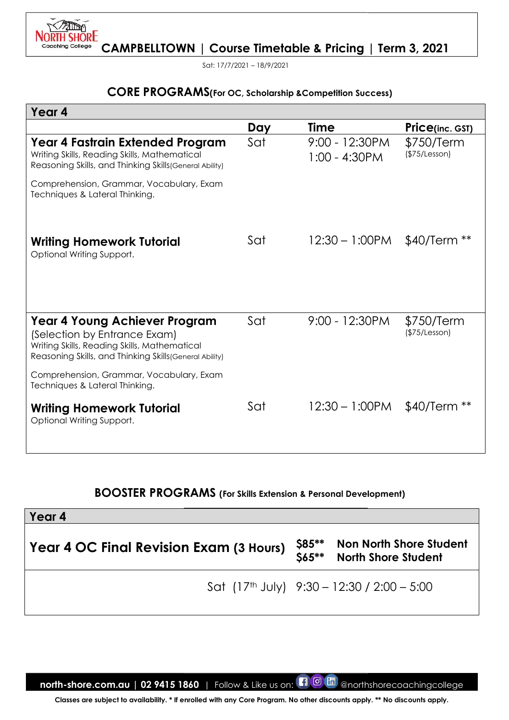

Sat: 17/7/2021 – 18/9/2021

# CORE PROGRAMS(For OC, Scholarship & Competition Success)

| <b>CORE PROGRAMS</b> (For OC, Scholarship & Competition Success)                                                                                                                       |     |                                                  |                                |
|----------------------------------------------------------------------------------------------------------------------------------------------------------------------------------------|-----|--------------------------------------------------|--------------------------------|
| Year 4                                                                                                                                                                                 |     |                                                  |                                |
|                                                                                                                                                                                        | Day | <b>Time</b>                                      | <b>Price(inc. GST)</b>         |
| Year 4 Fastrain Extended Program<br>Writing Skills, Reading Skills, Mathematical<br>Reasoning Skills, and Thinking Skills (General Ability)                                            | Sat | 9:00 - 12:30PM<br>$1:00 - 4:30$ PM               | \$750/Term<br>(\$75/Lesson)    |
| Comprehension, Grammar, Vocabulary, Exam<br>Techniques & Lateral Thinking.                                                                                                             |     |                                                  |                                |
| <b>Writing Homework Tutorial</b><br>Optional Writing Support.                                                                                                                          | Sat | $12:30 - 1:00$ PM                                | $$40/Term **$                  |
| <b>Year 4 Young Achiever Program</b><br>(Selection by Entrance Exam)<br>Writing Skills, Reading Skills, Mathematical<br>Reasoning Skills, and Thinking Skills (General Ability)        | Sat | $9:00 - 12:30PM$                                 | \$750/Term<br>(\$75/Lesson)    |
| Comprehension, Grammar, Vocabulary, Exam<br>Techniques & Lateral Thinking.                                                                                                             |     |                                                  |                                |
| <b>Writing Homework Tutorial</b><br>Optional Writing Support.                                                                                                                          | Sat | $12:30 - 1:00$ PM                                | $$40/Term **$                  |
| <b>BOOSTER PROGRAMS</b> (For Skills Extension & Personal Development)<br>Year 4                                                                                                        |     |                                                  |                                |
| Year 4 OC Final Revision Exam (3 Hours)                                                                                                                                                |     | \$85**<br><b>North Shore Student</b><br>$$65***$ | <b>Non North Shore Student</b> |
|                                                                                                                                                                                        |     | Sat $(17th$ July) $9:30 - 12:30 / 2:00 - 5:00$   |                                |
| north-shore.com.au   02 9415 1860   Follow & Like us on:<br>Classes are subject to availability. * If enrolled with any Core Program. No other discounts apply. ** No discounts apply. |     | <b>10 M</b> @northshorecoachingcollege           |                                |

# BOOSTER PROGRAMS (For Skills Extension & Personal Development)

| Year 4                                  |                                                              |
|-----------------------------------------|--------------------------------------------------------------|
| Year 4 OC Final Revision Exam (3 Hours) | \$85** Non North Shore Student<br>\$65** North Shore Student |
|                                         | Sat (17 <sup>th</sup> July) $9:30 - 12:30 / 2:00 - 5:00$     |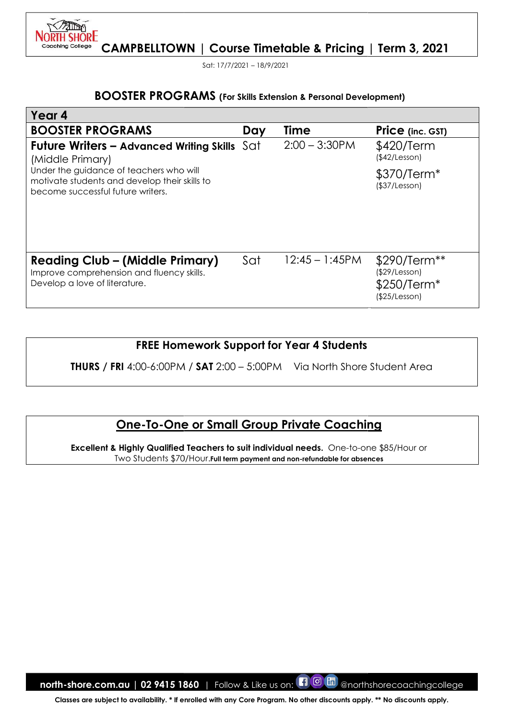

Sat: 17/7/2021 – 18/9/2021

#### **BOOSTER PROGRAMS** (For Skills Extension & Personal Development)

| <b>BOOSTER PROGRAMS</b> (For Skills Extension & Personal Development)                                                                                                                                                     |     |                  |                                                               |
|---------------------------------------------------------------------------------------------------------------------------------------------------------------------------------------------------------------------------|-----|------------------|---------------------------------------------------------------|
| Year 4                                                                                                                                                                                                                    |     |                  |                                                               |
| <b>BOOSTER PROGRAMS</b>                                                                                                                                                                                                   | Day | <b>Time</b>      | <b>Price</b> (inc. GST)                                       |
| <b>Future Writers – Advanced Writing Skills</b> $\text{Sat}$<br>(Middle Primary)                                                                                                                                          |     | $2:00 - 3:30$ PM | \$420/Term<br>(\$42/Lesson)                                   |
| Under the guidance of teachers who will<br>motivate students and develop their skills to<br>become successful future writers.                                                                                             |     |                  | \$370/Term*<br>(\$37/Lesson)                                  |
| <b>Reading Club – (Middle Primary)</b><br>Improve comprehension and fluency skills.<br>Develop a love of literature.                                                                                                      | Sat | $12:45 - 1:45PM$ | \$290/Term**<br>(\$29/Lesson)<br>\$250/Term*<br>(\$25/Lesson) |
| <b>FREE Homework Support for Year 4 Students</b>                                                                                                                                                                          |     |                  |                                                               |
| <b>THURS</b> / FRI 4:00-6:00PM / SAT 2:00 - 5:00PM Via North Shore Student Area                                                                                                                                           |     |                  |                                                               |
| <b>One-To-One or Small Group Private Coaching</b><br>Excellent & Highly Qualified Teachers to suit individual needs. One-to-one \$85/Hour or<br>Two Students \$70/Hour. Full term payment and non-refundable for absences |     |                  |                                                               |
|                                                                                                                                                                                                                           |     |                  |                                                               |
|                                                                                                                                                                                                                           |     |                  |                                                               |
|                                                                                                                                                                                                                           |     |                  |                                                               |
|                                                                                                                                                                                                                           |     |                  |                                                               |
|                                                                                                                                                                                                                           |     |                  |                                                               |
|                                                                                                                                                                                                                           |     |                  |                                                               |
| <b>north-shore.com.au</b>   02 9415 1860   Follow & Like us on: $\blacksquare$ $\blacksquare$ $\blacksquare$                                                                                                              |     |                  | @northshorecoachingcollege                                    |
| Classes are subject to availability. * If enrolled with any Core Program. No other discounts apply. ** No discounts apply.                                                                                                |     |                  |                                                               |

# FREE Homework Support for Year 4 Students

# <u> One-To-One or Small Group Private Coaching</u>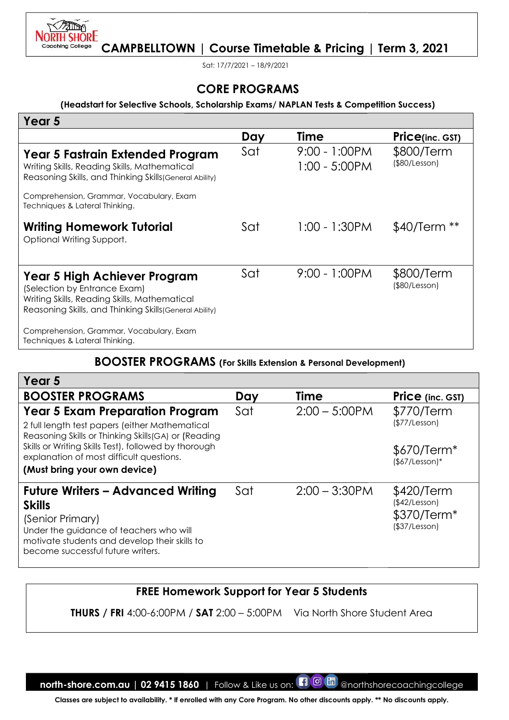

Sat: 17/7/2021 – 18/9/2021

#### (Headstart for Selective Schools, Schools, Scholarship Exams/ NAPLAN Tests & Competition Competition Success)

| (Headstart for Selective Schools, Scholarship Exams/NAPLAN Tests & Competition Success)                                                                                                                                                                                             |     |                                   |                                                              |
|-------------------------------------------------------------------------------------------------------------------------------------------------------------------------------------------------------------------------------------------------------------------------------------|-----|-----------------------------------|--------------------------------------------------------------|
| Year 5                                                                                                                                                                                                                                                                              |     |                                   |                                                              |
|                                                                                                                                                                                                                                                                                     | Day | <b>Time</b>                       | <b>Price(inc. GST)</b>                                       |
| Year 5 Fastrain Extended Program<br>Writing Skills, Reading Skills, Mathematical<br>Reasoning Skills, and Thinking Skills (General Ability)                                                                                                                                         | Sat | 9:00 - 1:00PM<br>$1:00 - 5:00$ PM | \$800/Term<br>(\$80/Lesson)                                  |
| Comprehension, Grammar, Vocabulary, Exam<br>Techniques & Lateral Thinking.                                                                                                                                                                                                          |     |                                   |                                                              |
| <b>Writing Homework Tutorial</b><br>Optional Writing Support.                                                                                                                                                                                                                       | Sat | $1:00 - 1:30$ PM                  | \$40/Term **                                                 |
| Year 5 High Achiever Program<br>(Selection by Entrance Exam)<br>Writing Skills, Reading Skills, Mathematical<br>Reasoning Skills, and Thinking Skills (General Ability)                                                                                                             | Sat | $9:00 - 1:00PM$                   | \$800/Term<br>(\$80/Lesson)                                  |
| Comprehension, Grammar, Vocabulary, Exam<br>Techniques & Lateral Thinking.                                                                                                                                                                                                          |     |                                   |                                                              |
| <b>BOOSTER PROGRAMS</b> (For Skills Extension & Personal Development)                                                                                                                                                                                                               |     |                                   |                                                              |
| Year <sub>5</sub>                                                                                                                                                                                                                                                                   |     |                                   |                                                              |
| <b>BOOSTER PROGRAMS</b>                                                                                                                                                                                                                                                             | Day | <b>Time</b>                       | Price (inc. GST)                                             |
| <b>Year 5 Exam Preparation Program</b><br>2 full length test papers (either Mathematical<br>Reasoning Skills or Thinking Skills(GA) or (Reading<br>Skills or Writing Skills Test), followed by thorough<br>explanation of most difficult questions.<br>(Must bring your own device) | Sat | $2:00 - 5:00$ PM                  | \$770/Term<br>(\$77/Lesson)<br>\$670/Term*<br>$($7/Lesson)*$ |
| <b>Future Writers – Advanced Writing</b><br><b>Skills</b><br>(Senior Primary)<br>Under the guidance of teachers who will<br>motivate students and develop their skills to<br>become successful future writers.                                                                      | Sat | $2:00 - 3:30$ PM                  | \$420/Term<br>(\$42/Lesson)<br>\$370/Term*<br>(\$37/Lesson)  |
| <b>FREE Homework Support for Year 5 Students</b>                                                                                                                                                                                                                                    |     |                                   |                                                              |
|                                                                                                                                                                                                                                                                                     |     |                                   |                                                              |

#### BOOSTER PROGRAMS (For Skills Extension & Personal Development)

| Year 5                                                                                                                                                                                                         |     |                  |                                                                         |
|----------------------------------------------------------------------------------------------------------------------------------------------------------------------------------------------------------------|-----|------------------|-------------------------------------------------------------------------|
| <b>BOOSTER PROGRAMS</b>                                                                                                                                                                                        | Day | <b>Time</b>      | <b>Price</b> (inc. GST)                                                 |
| <b>Year 5 Exam Preparation Program</b><br>2 full length test papers (either Mathematical<br>Reasoning Skills or Thinking Skills(GA) or (Reading                                                                | Sat | $2:00 - 5:00$ PM | \$770/Term<br>(\$77/Lesson)                                             |
| Skills or Writing Skills Test), followed by thorough<br>explanation of most difficult questions.                                                                                                               |     |                  | \$670/Term <sup>*</sup><br>$($7/Lesson)*$                               |
| (Must bring your own device)                                                                                                                                                                                   |     |                  |                                                                         |
| <b>Future Writers - Advanced Writing</b><br><b>Skills</b><br>(Senior Primary)<br>Under the guidance of teachers who will<br>motivate students and develop their skills to<br>become successful future writers. | Sat | $2:00 - 3:30$ PM | \$420/Term<br>(\$42/Lesson)<br>\$370/Term <sup>*</sup><br>(\$37/Lesson) |

# FREE Homework Support for Support for Year 5 Students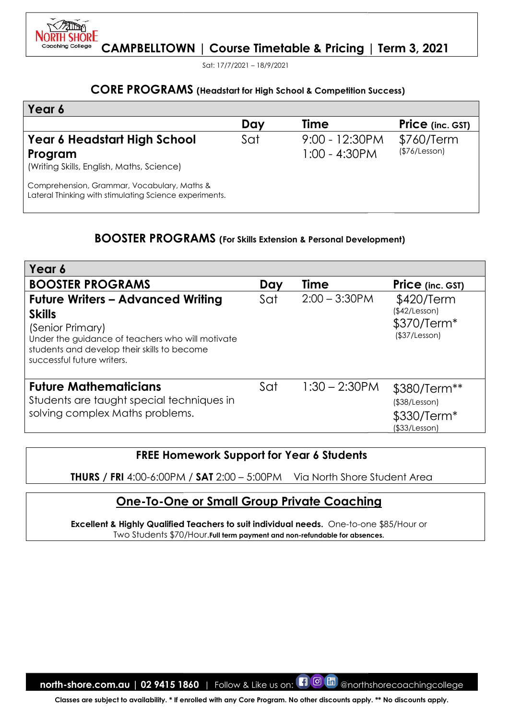

Sat: 17/7/2021 – 18/9/2021

#### CORE PROGRAMS (Headstart for High School & Competition Success)

| Year 6                                                                                                |     |                                      |                             |
|-------------------------------------------------------------------------------------------------------|-----|--------------------------------------|-----------------------------|
|                                                                                                       | Day | <b>Time</b>                          | <b>Price</b> (inc. GST)     |
| Year 6 Headstart High School<br>Program<br>(Writing Skills, English, Maths, Science)                  | Sat | $9:00 - 12:30PM$<br>$1:00 - 4:30$ PM | \$760/Term<br>(\$76/Lesson) |
| Comprehension, Grammar, Vocabulary, Maths &<br>Lateral Thinking with stimulating Science experiments. |     |                                      |                             |

#### BOOSTER PROGRAMS (For Skills Extension & Personal Development)

| <b>CORE PROGRAMS</b> (Headstart for High School & Competition Success)                                                                                                                                                                                                                                                         |     |                                   |                                                                     |
|--------------------------------------------------------------------------------------------------------------------------------------------------------------------------------------------------------------------------------------------------------------------------------------------------------------------------------|-----|-----------------------------------|---------------------------------------------------------------------|
| Year 6                                                                                                                                                                                                                                                                                                                         |     |                                   |                                                                     |
|                                                                                                                                                                                                                                                                                                                                | Day | <b>Time</b>                       | <b>Price</b> (inc. GST)                                             |
| Year 6 Headstart High School<br>Program<br>(Writing Skills, English, Maths, Science)                                                                                                                                                                                                                                           | Sat | 9:00 - 12:30PM<br>$1:00 - 4:30PM$ | \$760/Term<br>(\$76/Lesson)                                         |
| Comprehension, Grammar, Vocabulary, Maths &<br>Lateral Thinking with stimulating Science experiments.                                                                                                                                                                                                                          |     |                                   |                                                                     |
| <b>BOOSTER PROGRAMS</b> (For Skills Extension & Personal Development)                                                                                                                                                                                                                                                          |     |                                   |                                                                     |
| Year 6                                                                                                                                                                                                                                                                                                                         |     |                                   |                                                                     |
| <b>BOOSTER PROGRAMS</b>                                                                                                                                                                                                                                                                                                        | Day | <b>Time</b>                       | <b>Price</b> (inc. GST)                                             |
| <b>Future Writers - Advanced Writing</b><br><b>Skills</b><br>(Senior Primary)<br>Under the guidance of teachers who will motivate<br>students and develop their skills to become<br>successful future writers.                                                                                                                 | Sat | $2:00 - 3:30$ PM                  | \$420/Term<br>(\$42/Lesson)<br>\$370/Term*<br>(\$37/Lesson)         |
| <b>Future Mathematicians</b><br>Students are taught special techniques in<br>solving complex Maths problems.                                                                                                                                                                                                                   | Sat | $1:30 - 2:30$ PM                  | \$380/Term**<br>$($ \$38/Lesson $)$<br>\$330/Term*<br>(\$33/Lesson) |
| <b>FREE Homework Support for Year 6 Students</b><br>THURS / FRI 4:00-6:00PM / SAT 2:00 - 5:00PM<br><u> One-To-One or Small Group Private Coaching</u><br>Excellent & Highly Qualified Teachers to suit individual needs. One-to-one \$85/Hour or<br>Two Students \$70/Hour. Full term payment and non-refundable for absences. |     | Via North Shore Student Area      |                                                                     |

# FREE Homework Support for Support for Year 6 Students

# One-To-One or Small Group Private Coaching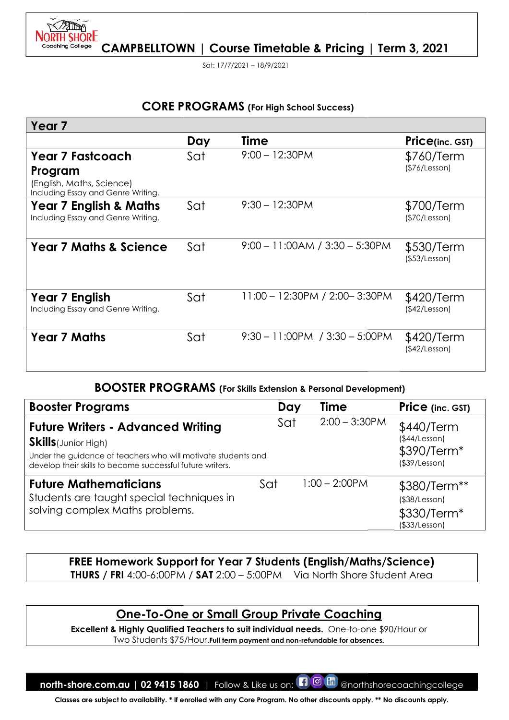

Sat: 17/7/2021 – 18/9/2021

# CORE PROGRAMS (For High School Success)

| Year <sub>7</sub>                                                                                                                                                                                     |     |                                                                                                                                                      |                                                                                         |
|-------------------------------------------------------------------------------------------------------------------------------------------------------------------------------------------------------|-----|------------------------------------------------------------------------------------------------------------------------------------------------------|-----------------------------------------------------------------------------------------|
|                                                                                                                                                                                                       | Day | <b>Time</b>                                                                                                                                          | <b>Price(inc. GST)</b>                                                                  |
| <b>Year 7 Fastcoach</b><br>Program<br>(English, Maths, Science)<br>Including Essay and Genre Writing.                                                                                                 | Sat | $9:00 - 12:30PM$                                                                                                                                     | \$760/Term<br>(\$76/Lesson)                                                             |
| <b>Year 7 English &amp; Maths</b><br>Including Essay and Genre Writing.                                                                                                                               | Sat | $9:30 - 12:30$ PM                                                                                                                                    | \$700/Term<br>(\$70/Lesson)                                                             |
| <b>Year 7 Maths &amp; Science</b>                                                                                                                                                                     | Sat | $9:00 - 11:00AM / 3:30 - 5:30PM$                                                                                                                     | \$530/Term<br>(\$53/Lesson)                                                             |
| Year 7 English<br>Including Essay and Genre Writing.                                                                                                                                                  | Sat | 11:00 - 12:30PM / 2:00-3:30PM                                                                                                                        | \$420/Term<br>(\$42/Lesson)                                                             |
| <b>Year 7 Maths</b>                                                                                                                                                                                   | Sat | $9:30 - 11:00PM$ / $3:30 - 5:00PM$                                                                                                                   | \$420/Term<br>(\$42/Lesson)                                                             |
|                                                                                                                                                                                                       |     | <b>BOOSTER PROGRAMS</b> (For Skills Extension & Personal Development)                                                                                |                                                                                         |
| <b>Booster Programs</b>                                                                                                                                                                               |     | Time<br>Day                                                                                                                                          | <b>Price</b> (inc. GST)                                                                 |
| <b>Future Writers - Advanced Writing</b><br><b>Skills</b> (Junior High)<br>Under the guidance of teachers who will motivate students and<br>develop their skills to become successful future writers. |     | $2:00 - 3:30$ PM<br>Sat                                                                                                                              | \$440/Term<br>(\$44/Lesson)<br>\$390/Term <sup>*</sup><br>$($ \$39/Lesson $)$           |
| <b>Future Mathematicians</b><br>Students are taught special techniques in<br>solving complex Maths problems.                                                                                          |     | $1:00 - 2:00$ PM<br>Sat                                                                                                                              | \$380/Term**<br>(\$38/Lesson)<br>\$330/Term <sup>*</sup><br>(\$33/Lesson)               |
|                                                                                                                                                                                                       |     | FREE Homework Support for Year 7 Students (English/Maths/Science)<br><b>THURS / FRI</b> 4:00-6:00PM / SAT 2:00 - 5:00PM Via North Shore Student Area |                                                                                         |
|                                                                                                                                                                                                       |     | <b>One-To-One or Small Group Private Coaching</b>                                                                                                    | Excellent & Highly Qualified Teachers to suit individual needs. One-to-one \$90/Hour or |

# BOOSTER PROGRAMS (For Skills Extension & Personal Development)

| <b>Booster Programs</b>                                                                                                                                                                               | Day | <b>Time</b>      | <b>Price</b> (inc. GST)                                           |
|-------------------------------------------------------------------------------------------------------------------------------------------------------------------------------------------------------|-----|------------------|-------------------------------------------------------------------|
| <b>Future Writers - Advanced Writing</b><br><b>Skills</b> (Junior High)<br>Under the guidance of teachers who will motivate students and<br>develop their skills to become successful future writers. | Sat | $2:00 - 3:30$ PM | \$440/Term<br>(\$44/Lesson)<br>\$390/Term*<br>$($ \$39/Lesson $)$ |
| <b>Future Mathematicians</b><br>Students are taught special techniques in<br>solving complex Maths problems.                                                                                          | Sat | $1:00 - 2:00$ PM | \$380/Term**<br>(\$38/Lesson)<br>\$330/Term*<br>(\$33/Lesson)     |

# <u> One-To-One or Small Group Private Coaching</u>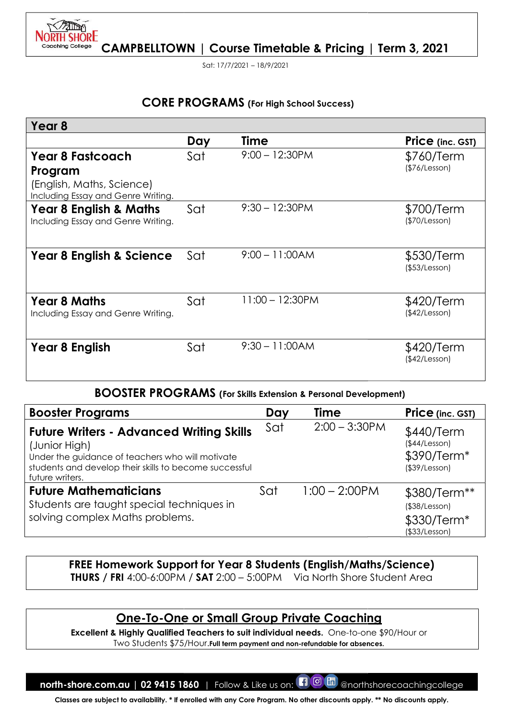

Sat: 17/7/2021 – 18/9/2021

# CORE PROGRAMS (For High School Success)

|                                                                                                                                                                                                   |     | <b>CORE PROGRAMS</b> (For High School Success)                                                                                                                                                                                                                                                                                                                                     |                                                                                 |
|---------------------------------------------------------------------------------------------------------------------------------------------------------------------------------------------------|-----|------------------------------------------------------------------------------------------------------------------------------------------------------------------------------------------------------------------------------------------------------------------------------------------------------------------------------------------------------------------------------------|---------------------------------------------------------------------------------|
| Year 8                                                                                                                                                                                            |     |                                                                                                                                                                                                                                                                                                                                                                                    |                                                                                 |
|                                                                                                                                                                                                   | Day | Time                                                                                                                                                                                                                                                                                                                                                                               | <b>Price</b> (inc. GST)                                                         |
| <b>Year 8 Fastcoach</b><br>Program<br>(English, Maths, Science)<br>Including Essay and Genre Writing.                                                                                             | Sat | $9:00 - 12:30$ PM                                                                                                                                                                                                                                                                                                                                                                  | \$760/Term<br>(\$76/Lesson)                                                     |
| Year 8 English & Maths<br>Including Essay and Genre Writing.                                                                                                                                      | Sat | $9:30 - 12:30PM$                                                                                                                                                                                                                                                                                                                                                                   | \$700/Term<br>(\$70/Lesson)                                                     |
| <b>Year 8 English &amp; Science</b>                                                                                                                                                               | Sat | $9:00 - 11:00AM$                                                                                                                                                                                                                                                                                                                                                                   | \$530/Term<br>(\$53/Lesson)                                                     |
| <b>Year 8 Maths</b><br>Including Essay and Genre Writing.                                                                                                                                         | Sat | $11:00 - 12:30PM$                                                                                                                                                                                                                                                                                                                                                                  | \$420/Term<br>(\$42/Lesson)                                                     |
| <b>Year 8 English</b>                                                                                                                                                                             | Sat | $9:30 - 11:00AM$                                                                                                                                                                                                                                                                                                                                                                   | \$420/Term<br>(\$42/Lesson)                                                     |
|                                                                                                                                                                                                   |     | <b>BOOSTER PROGRAMS</b> (For Skills Extension & Personal Development)                                                                                                                                                                                                                                                                                                              |                                                                                 |
| <b>Booster Programs</b>                                                                                                                                                                           |     | Time<br>Day                                                                                                                                                                                                                                                                                                                                                                        | Price (inc. GST)                                                                |
| <b>Future Writers - Advanced Writing Skills</b><br>(Junior High)<br>Under the guidance of teachers who will motivate<br>students and develop their skills to become successful<br>future writers. |     | $2:00 - 3:30$ PM<br>Sat                                                                                                                                                                                                                                                                                                                                                            | \$440/Term<br>(\$44/Lesson)<br>\$390/Term*<br>$($ \$39/Lesson $)$               |
| <b>Future Mathematicians</b><br>Students are taught special techniques in<br>solving complex Maths problems.                                                                                      |     | $1:00 - 2:00$ PM<br>Sat                                                                                                                                                                                                                                                                                                                                                            | \$380/Term**<br>$($ \$38/Lesson $)$<br>\$330/Term <sup>*</sup><br>(\$33/Lesson) |
|                                                                                                                                                                                                   |     | FREE Homework Support for Year 8 Students (English/Maths/Science)<br><b>THURS / FRI</b> 4:00-6:00PM / SAT 2:00 - 5:00PM Via North Shore Student Area<br><u>One-To-One or Small Group Private Coaching</u><br>Excellent & Highly Qualified Teachers to suit individual needs. One-to-one \$90/Hour or<br>Two Students \$75/Hour. Full term payment and non-refundable for absences. |                                                                                 |
|                                                                                                                                                                                                   |     |                                                                                                                                                                                                                                                                                                                                                                                    |                                                                                 |
| north-shore.com.au   02 9415 1860   Follow & Like us on:                                                                                                                                          |     | ပြ<br><b>lin</b>                                                                                                                                                                                                                                                                                                                                                                   | @northshorecoachingcollege                                                      |

#### BOOSTER PROGRAMS (For Skills Extension & Personal Development)

| <b>Booster Programs</b>                                                                                                                                                                           | Day | Time             | Price (inc. GST)                                              |
|---------------------------------------------------------------------------------------------------------------------------------------------------------------------------------------------------|-----|------------------|---------------------------------------------------------------|
| <b>Future Writers - Advanced Writing Skills</b><br>(Junior High)<br>Under the guidance of teachers who will motivate<br>students and develop their skills to become successful<br>future writers. | Sat | $2:00 - 3:30$ PM | \$440/Term<br>(\$44/Lesson)<br>\$390/Term*<br>(\$39/Lesson)   |
| <b>Future Mathematicians</b><br>Students are taught special techniques in<br>solving complex Maths problems.                                                                                      | Sat | $1:00 - 2:00$ PM | \$380/Term**<br>(\$38/Lesson)<br>\$330/Term*<br>(\$33/Lesson) |

# FREE Homework Support for Year 8 Students (English/Maths/Science) <code>THURS</code> / FRI 4:00-6:00PM / SAT 2:00 – 5:00PM  $\;$  Via North Shore Student Area

# One-To-One or Small Group Private Coaching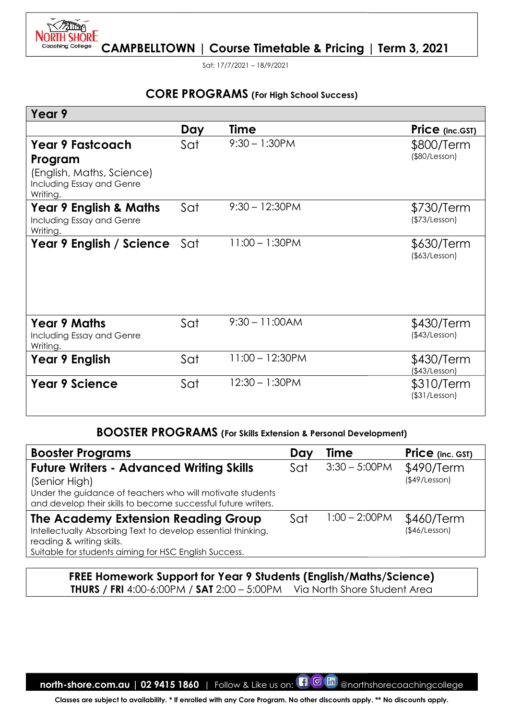

Sat: 17/7/2021 – 18/9/2021

# CORE PROGRAMS (For High School Success)

|                                                                                                                                                                                                |     | <b>CORE PROGRAMS</b> (For High School Success) |     |                                                                          |                                   |
|------------------------------------------------------------------------------------------------------------------------------------------------------------------------------------------------|-----|------------------------------------------------|-----|--------------------------------------------------------------------------|-----------------------------------|
| Year 9                                                                                                                                                                                         |     |                                                |     |                                                                          |                                   |
|                                                                                                                                                                                                | Day | <b>Time</b>                                    |     |                                                                          | Price (inc.GST)                   |
| <b>Year 9 Fastcoach</b><br>Program<br>(English, Maths, Science)<br>Including Essay and Genre<br>Writing.                                                                                       | Sat | $9:30 - 1:30$ PM                               |     |                                                                          | \$800/Term<br>(\$80/Lesson)       |
| Year 9 English & Maths<br>Including Essay and Genre<br>Writing.                                                                                                                                | Sat | $9:30 - 12:30PM$                               |     |                                                                          | \$730/Term<br>(\$73/Lesson)       |
| Year 9 English / Science                                                                                                                                                                       | Sat | $11:00 - 1:30$ PM                              |     |                                                                          | \$630/Term<br>(\$63/Lesson)       |
| <b>Year 9 Maths</b><br>Including Essay and Genre<br>Writing.                                                                                                                                   | Sat | $9:30 - 11:00AM$                               |     |                                                                          | \$430/Term<br>(\$43/Lesson)       |
| Year 9 English                                                                                                                                                                                 | Sat | $11:00 - 12:30PM$                              |     |                                                                          | \$430/Term<br>(\$43/Lesson)       |
| <b>Year 9 Science</b>                                                                                                                                                                          | Sat | $12:30 - 1:30$ PM                              |     |                                                                          | \$310/Term<br>$($ \$31/Lesson $)$ |
| <b>BOOSTER PROGRAMS</b> (For Skills Extension & Personal Development)                                                                                                                          |     |                                                |     |                                                                          |                                   |
| <b>Booster Programs</b>                                                                                                                                                                        |     |                                                | Day | <b>Time</b>                                                              | Price (inc. GST)                  |
| <b>Future Writers - Advanced Writing Skills</b><br>(Senior High)<br>Under the guidance of teachers who will motivate students<br>and develop their skills to become successful future writers. |     |                                                | Sat | $3:30 - 5:00$ PM                                                         | \$490/Term<br>$($ \$49/Lesson $)$ |
| The Academy Extension Reading Group<br>Intellectually Absorbing Text to develop essential thinking,<br>reading & writing skills.<br>Suitable for students aiming for HSC English Success.      |     |                                                | Sat | $1:00 - 2:00$ PM                                                         | \$460/Term<br>(\$46/Lesson)       |
|                                                                                                                                                                                                |     |                                                |     | <b>FREE Homework Support for Year 9 Students (English/Maths/Science)</b> |                                   |

#### BOOSTER PROGRAMS (For Skills Extension & Personal Development)

| <b>Booster Programs</b>                                                                                                                                                                        | Day | Time             | <b>Price</b> (inc. GST)           |
|------------------------------------------------------------------------------------------------------------------------------------------------------------------------------------------------|-----|------------------|-----------------------------------|
| <b>Future Writers - Advanced Writing Skills</b><br>(Senior High)<br>Under the guidance of teachers who will motivate students<br>and develop their skills to become successful future writers. | Sat | $3:30 - 5:00$ PM | \$490/Term<br>$($ \$49/Lesson $)$ |
| The Academy Extension Reading Group<br>Intellectually Absorbing Text to develop essential thinking,<br>reading & writing skills.<br>Suitable for students aiming for HSC English Success.      | Sat | $1:00 - 2:00$ PM | \$460/Term<br>(\$46/Lesson)       |

#### FREE Homework Support for Year 9 Students (English/Maths/Science) <code>THURS</code> / FRI 4:00-6:00PM / SAT 2:00 – 5:00PM  $\;$  Via North Shore Student Area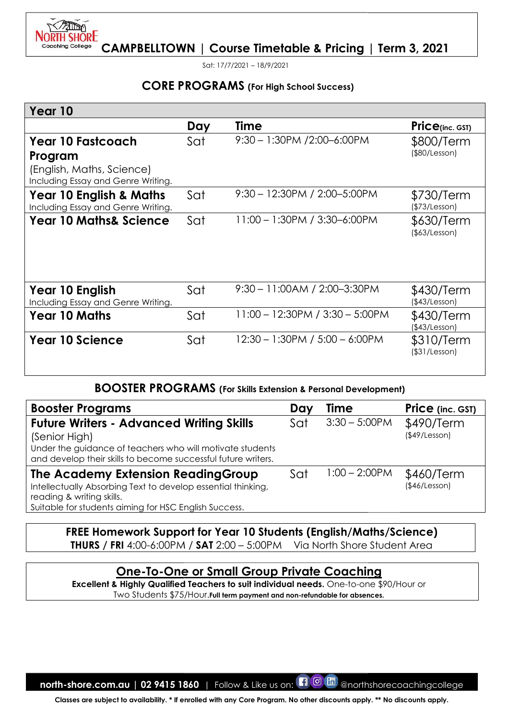

Sat: 17/7/2021 – 18/9/2021

# CORE PROGRAMS (For High School Success)

|                                                                                                                                                                                                |     |             |     | <b>CORE PROGRAMS</b> (For High School Success)                                                                                               |                                   |
|------------------------------------------------------------------------------------------------------------------------------------------------------------------------------------------------|-----|-------------|-----|----------------------------------------------------------------------------------------------------------------------------------------------|-----------------------------------|
| Year 10                                                                                                                                                                                        |     |             |     |                                                                                                                                              |                                   |
|                                                                                                                                                                                                | Day | <b>Time</b> |     |                                                                                                                                              | Price(inc. GST)                   |
| <b>Year 10 Fastcoach</b><br>Program<br>(English, Maths, Science)<br>Including Essay and Genre Writing.                                                                                         | Sat |             |     | 9:30 - 1:30PM /2:00-6:00PM                                                                                                                   | \$800/Term<br>$($ \$80/Lesson $)$ |
| <b>Year 10 English &amp; Maths</b><br>Including Essay and Genre Writing.                                                                                                                       | Sat |             |     | 9:30 - 12:30PM / 2:00-5:00PM                                                                                                                 | \$730/Term<br>(\$73/Lesson)       |
| <b>Year 10 Maths&amp; Science</b>                                                                                                                                                              | Sat |             |     | 11:00 - 1:30PM / 3:30-6:00PM                                                                                                                 | \$630/Term<br>$($ \$63/Lesson $)$ |
| Year 10 English<br>Including Essay and Genre Writing.                                                                                                                                          | Sat |             |     | $9:30 - 11:00AM / 2:00 - 3:30PM$                                                                                                             | \$430/Term<br>(\$43/Lesson)       |
| <b>Year 10 Maths</b>                                                                                                                                                                           | Sat |             |     | 11:00 - 12:30PM / 3:30 - 5:00PM                                                                                                              | \$430/Term<br>(\$43/Lesson)       |
| <b>Year 10 Science</b>                                                                                                                                                                         | Sat |             |     | 12:30 - 1:30PM / 5:00 - 6:00PM                                                                                                               | \$310/Term<br>$($ \$31/Lesson $)$ |
| <b>BOOSTER PROGRAMS</b> (For Skills Extension & Personal Development)                                                                                                                          |     |             |     |                                                                                                                                              |                                   |
| <b>Booster Programs</b>                                                                                                                                                                        |     |             | Day | Time                                                                                                                                         | Price (inc. GST)                  |
| <b>Future Writers - Advanced Writing Skills</b><br>(Senior High)<br>Under the guidance of teachers who will motivate students<br>and develop their skills to become successful future writers. |     |             | Sat | $3:30 - 5:00$ PM                                                                                                                             | \$490/Term<br>(\$49/Lesson)       |
| The Academy Extension ReadingGroup<br>Intellectually Absorbing Text to develop essential thinking,<br>reading & writing skills.<br>Suitable for students aiming for HSC English Success.       |     |             | Sat | $1:00 - 2:00$ PM                                                                                                                             | \$460/Term<br>(\$46/Lesson)       |
| FREE Homework Support for Year 10 Students (English/Maths/Science)<br><b>THURS / FRI 4:00-6:00PM / SAT 2:00 - 5:00PM</b>                                                                       |     |             |     | Via North Shore Student Area                                                                                                                 |                                   |
|                                                                                                                                                                                                |     |             |     | <b>One-To-One or Small Group Private Coaching</b><br>Excellent & Highly Qualified Teachers to suit individual needs. One-to-one \$90/Hour or |                                   |

#### BOOSTER PROGRAMS PROGRAMS (For Skills Extension & Personal Development)

| <b>Booster Programs</b>                                                                                                                                                                        | Day | <b>Time</b>      | Price (inc. GST)            |
|------------------------------------------------------------------------------------------------------------------------------------------------------------------------------------------------|-----|------------------|-----------------------------|
| <b>Future Writers - Advanced Writing Skills</b><br>(Senior High)<br>Under the guidance of teachers who will motivate students<br>and develop their skills to become successful future writers. | Sat | $3:30 - 5:00$ PM | \$490/Term<br>(\$49/Lesson) |
| The Academy Extension Reading Group<br>Intellectually Absorbing Text to develop essential thinking,<br>reading & writing skills.                                                               | Sat | $1:00 - 2:00$ PM | \$460/Term<br>(\$46/Lesson) |
| Suitable for students aiming for HSC English Success.                                                                                                                                          |     |                  |                             |

# FREE Homework Support for Year 10 Students (English/Maths/Science) (English/Maths/Science) <code>THURS</code> / FRI 4:00-6:00PM / SAT 2:00 – 5:00PM  $\;$  Via North Shore Student Area

# One-To-One or Small Group Private Coaching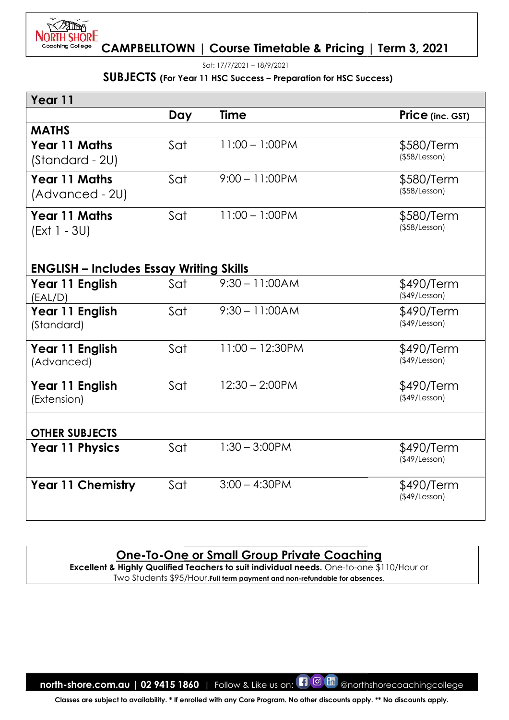

Sat: 17/7/2021 – 18/9/2021

#### SUBJECTS (For Year 11 HSC Success - Preparation for HSC Success)

| Year 11                                        |     |                                                                                                                                                                                                                             |                                   |
|------------------------------------------------|-----|-----------------------------------------------------------------------------------------------------------------------------------------------------------------------------------------------------------------------------|-----------------------------------|
|                                                | Day | Time                                                                                                                                                                                                                        | Price (inc. GST)                  |
| <b>MATHS</b>                                   |     |                                                                                                                                                                                                                             |                                   |
| <b>Year 11 Maths</b><br>(Standard - 2U)        | Sat | $11:00 - 1:00$ PM                                                                                                                                                                                                           | \$580/Term<br>(\$58/Lesson)       |
| <b>Year 11 Maths</b><br>(Advanced - 2U)        | Sat | $9:00 - 11:00PM$                                                                                                                                                                                                            | \$580/Term<br>$($ \$58/Lesson $)$ |
| <b>Year 11 Maths</b><br>(Ext 1 - 3U)           | Sat | $11:00 - 1:00$ PM                                                                                                                                                                                                           | \$580/Term<br>$($ \$58/Lesson $)$ |
| <b>ENGLISH – Includes Essay Writing Skills</b> |     |                                                                                                                                                                                                                             |                                   |
| Year 11 English<br>(EAL/D)                     | Sat | $9:30 - 11:00AM$                                                                                                                                                                                                            | \$490/Term<br>(\$49/Lesson)       |
| Year 11 English<br>(Standard)                  | Sat | $9:30 - 11:00AM$                                                                                                                                                                                                            | \$490/Term<br>(\$49/Lesson)       |
| Year 11 English<br>(Advanced)                  | Sat | $11:00 - 12:30$ PM                                                                                                                                                                                                          | \$490/Term<br>(\$49/Lesson)       |
| Year 11 English<br>(Extension)                 | Sat | $12:30 - 2:00$ PM                                                                                                                                                                                                           | \$490/Term<br>(\$49/Lesson)       |
| <b>OTHER SUBJECTS</b>                          |     |                                                                                                                                                                                                                             |                                   |
| <b>Year 11 Physics</b>                         | Sat | $1:30 - 3:00$ PM                                                                                                                                                                                                            | \$490/Term<br>$($ \$49/Lesson $)$ |
| <b>Year 11 Chemistry</b>                       | Sat | $3:00 - 4:30$ PM                                                                                                                                                                                                            | \$490/Term<br>(\$49/Lesson)       |
|                                                |     | <u>One-To-One or Small Group Private Coaching</u><br>Excellent & Highly Qualified Teachers to suit individual needs. One-to-one \$110/Hour or<br>Two Students \$95/Hour. Full term payment and non-refundable for absences. |                                   |

# One-To-One or Small Group Private Coaching